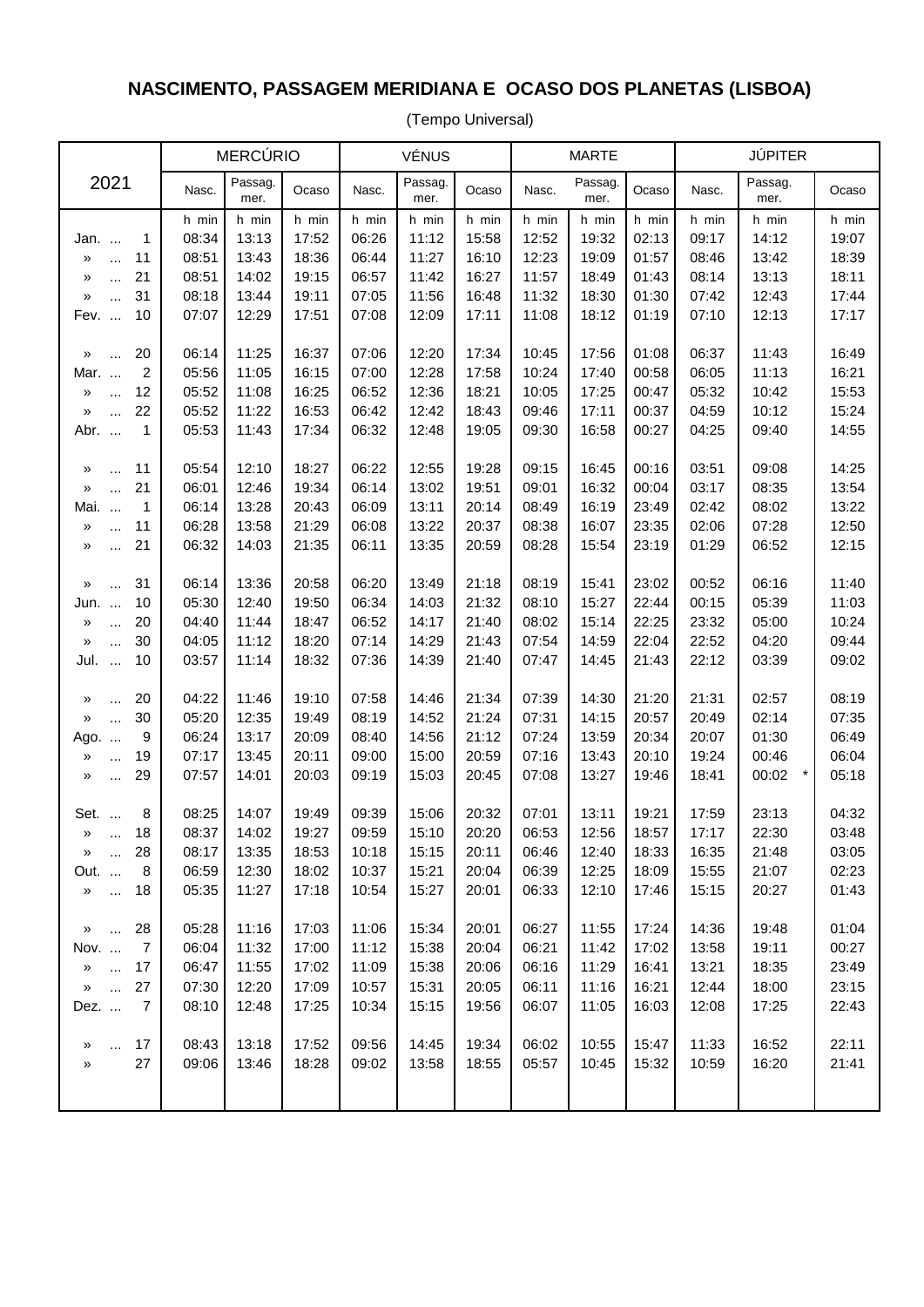## **NASCIMENTO, PASSAGEM MERIDIANA E OCASO DOS PLANETAS (LISBOA)**

(Tempo Universal)

|                                              | <b>MERCÚRIO</b> |                 |                | <b>VÉNUS</b>   |                 |                | <b>MARTE</b>   |                 |                | <b>JÚPITER</b> |                  |                |
|----------------------------------------------|-----------------|-----------------|----------------|----------------|-----------------|----------------|----------------|-----------------|----------------|----------------|------------------|----------------|
| 2021                                         | Nasc.           | Passag.<br>mer. | Ocaso          | Nasc.          | Passag.<br>mer. | Ocaso          | Nasc.          | Passag.<br>mer. | Ocaso          | Nasc.          | Passag.<br>mer.  | Ocaso          |
|                                              | h min           | h min           | h min          | h min          | h min           | h min          | h min          | h min           | h min          | h min          | h min            | h min          |
| 1<br>Jan.                                    | 08:34           | 13:13           | 17:52          | 06:26          | 11:12           | 15:58          | 12:52          | 19:32           | 02:13          | 09:17          | 14:12            | 19:07          |
| 11<br>$\gg$<br>$\cdots$                      | 08:51           | 13:43           | 18:36          | 06:44          | 11:27           | 16:10          | 12:23          | 19:09           | 01:57          | 08:46          | 13:42            | 18:39          |
| 21<br>»<br>$\cdots$                          | 08:51           | 14:02           | 19:15          | 06:57          | 11:42           | 16:27          | 11:57          | 18:49           | 01:43          | 08:14          | 13:13            | 18:11          |
| 31<br>»<br>$\ddotsc$                         | 08:18           | 13:44           | 19:11          | 07:05          | 11:56           | 16:48          | 11:32          | 18:30           | 01:30          | 07:42          | 12:43            | 17:44          |
| 10<br>Fev.                                   | 07:07           | 12:29           | 17:51          | 07:08          | 12:09           | 17:11          | 11:08          | 18:12           | 01:19          | 07:10          | 12:13            | 17:17          |
| 20<br>$\gg$<br>$\cdots$                      | 06:14           | 11:25           | 16:37          | 07:06          | 12:20           | 17:34          | 10:45          | 17:56           | 01:08          | 06:37          | 11:43            | 16:49          |
| $\overline{c}$<br>Mar.                       | 05:56           | 11:05           | 16:15          | 07:00          | 12:28           | 17:58          | 10:24          | 17:40           | 00:58          | 06:05          | 11:13            | 16:21          |
| 12<br>$\gg$<br>$\ddotsc$                     | 05:52           | 11:08           | 16:25          | 06:52          | 12:36           | 18:21          | 10:05          | 17:25           | 00:47          | 05:32          | 10:42            | 15:53          |
| 22<br>$\boldsymbol{\gamma}$<br>$\ddotsc$     | 05:52           | 11:22           | 16:53          | 06:42          | 12:42           | 18:43          | 09:46          | 17:11           | 00:37          | 04:59          | 10:12            | 15:24          |
| $\mathbf{1}$<br>Abr.                         | 05:53           | 11:43           | 17:34          | 06:32          | 12:48           | 19:05          | 09:30          | 16:58           | 00:27          | 04:25          | 09:40            | 14:55          |
|                                              |                 |                 |                |                |                 |                |                |                 |                |                |                  |                |
| 11<br>»<br>$\cdots$                          | 05:54           | 12:10           | 18:27          | 06:22          | 12:55           | 19:28          | 09:15          | 16:45           | 00:16          | 03:51          | 09:08            | 14:25          |
| 21<br>»<br>$\cdots$                          | 06:01           | 12:46           | 19:34          | 06:14          | 13:02           | 19:51          | 09:01          | 16:32           | 00:04          | 03:17          | 08:35            | 13:54          |
| Mai.<br>1<br>11                              | 06:14           | 13:28           | 20:43<br>21:29 | 06:09          | 13:11           | 20:14          | 08:49          | 16:19           | 23:49          | 02:42          | 08:02            | 13:22<br>12:50 |
| »<br>                                        | 06:28           | 13:58<br>14:03  |                | 06:08<br>06:11 | 13:22<br>13:35  | 20:37<br>20:59 | 08:38<br>08:28 | 16:07<br>15:54  | 23:35<br>23:19 | 02:06<br>01:29 | 07:28            | 12:15          |
| 21<br>»<br>$\cdots$                          | 06:32           |                 | 21:35          |                |                 |                |                |                 |                |                | 06:52            |                |
| 31<br>$\gg$<br>$\cdots$                      | 06:14           | 13:36           | 20:58          | 06:20          | 13:49           | 21:18          | 08:19          | 15:41           | 23:02          | 00:52          | 06:16            | 11:40          |
| 10<br>Jun.                                   | 05:30           | 12:40           | 19:50          | 06:34          | 14:03           | 21:32          | 08:10          | 15:27           | 22:44          | 00:15          | 05:39            | 11:03          |
| $20\,$<br>»<br>$\bar{\mathcal{L}}$           | 04:40           | 11:44           | 18:47          | 06:52          | 14:17           | 21:40          | 08:02          | 15:14           | 22:25          | 23:32          | 05:00            | 10:24          |
| 30<br>$\gg$<br>$\cdots$                      | 04:05           | 11:12           | 18:20          | 07:14          | 14:29           | 21:43          | 07:54          | 14:59           | 22:04          | 22:52          | 04:20            | 09:44          |
| 10<br>Jul.<br>$\ddotsc$                      | 03:57           | 11:14           | 18:32          | 07:36          | 14:39           | 21:40          | 07:47          | 14:45           | 21:43          | 22:12          | 03:39            | 09:02          |
| 20<br>»<br>$\cdots$                          | 04:22           | 11:46           | 19:10          | 07:58          | 14:46           | 21:34          | 07:39          | 14:30           | 21:20          | 21:31          | 02:57            | 08:19          |
| 30<br>$\boldsymbol{\mathcal{Y}}$<br>$\cdots$ | 05:20           | 12:35           | 19:49          | 08:19          | 14:52           | 21:24          | 07:31          | 14:15           | 20:57          | 20:49          | 02:14            | 07:35          |
| 9<br>Ago.                                    | 06:24           | 13:17           | 20:09          | 08:40          | 14:56           | 21:12          | 07:24          | 13:59           | 20:34          | 20:07          | 01:30            | 06:49          |
| 19<br>»<br>$\cdots$                          | 07:17           | 13:45           | 20:11          | 09:00          | 15:00           | 20:59          | 07:16          | 13:43           | 20:10          | 19:24          | 00:46            | 06:04          |
| 29<br>»<br>$\cdots$                          | 07:57           | 14:01           | 20:03          | 09:19          | 15:03           | 20:45          | 07:08          | 13:27           | 19:46          | 18:41          | $\star$<br>00:02 | 05:18          |
| 8<br>Set.                                    | 08:25           | 14:07           | 19:49          | 09:39          | 15:06           | 20:32          | 07:01          | 13:11           | 19:21          | 17:59          | 23:13            | 04:32          |
| 18<br>»<br>$\cdots$                          | 08:37           | 14:02           | 19:27          | 09:59          | 15:10           | 20:20          | 06:53          | 12:56           | 18:57          | 17:17          | 22:30            | 03:48          |
| 28<br>»<br>$\cdots$                          | 08:17           | 13:35           | 18:53          | 10:18          | 15:15           | 20:11          | 06:46          | 12:40           | 18:33          | 16:35          | 21:48            | 03:05          |
| 8<br>Out.                                    | 06:59           | 12:30           | 18:02          | 10:37          | 15:21           | 20:04          | 06:39          | 12:25           | 18:09          | 15:55          | 21:07            | 02:23          |
| 18<br>$\boldsymbol{\mathcal{Y}}$<br>         | 05:35           | 11:27           | 17:18          | 10:54          | 15:27           | 20:01          | 06:33          | 12:10           | 17:46          | 15:15          | 20:27            | 01:43          |
|                                              |                 |                 |                |                |                 |                |                |                 |                |                |                  |                |
| 28<br>$\boldsymbol{\mathcal{Y}}$<br>$\cdots$ | 05:28           | 11:16           | 17:03          | 11:06          | 15:34           | 20:01          | 06:27          | 11:55           | 17:24          | 14:36          | 19:48            | 01:04          |
| $\overline{7}$<br>Nov.                       | 06:04           | 11:32           | 17:00          | 11:12          | 15:38           | 20:04          | 06:21          | 11:42           | 17:02          | 13:58          | 19:11            | 00:27          |
| 17<br>$\boldsymbol{\mathcal{Y}}$<br>$\cdots$ | 06:47           | 11:55           | 17:02          | 11:09          | 15:38           | 20:06          | 06:16          | 11:29           | 16:41          | 13:21          | 18:35            | 23:49          |
| 27<br>$\boldsymbol{\gg}$<br>$\ddotsc$        | 07:30           | 12:20           | 17:09          | 10:57          | 15:31           | 20:05          | 06:11          | 11:16           | 16:21          | 12:44          | 18:00            | 23:15          |
| $\overline{7}$<br>Dez.                       | 08:10           | 12:48           | 17:25          | 10:34          | 15:15           | 19:56          | 06:07          | 11:05           | 16:03          | 12:08          | 17:25            | 22:43          |
| 17<br>»                                      | 08:43           | 13:18           | 17:52          | 09:56          | 14:45           | 19:34          | 06:02          | 10:55           | 15:47          | 11:33          | 16:52            | 22:11          |
| <br>27<br>»                                  | 09:06           | 13:46           | 18:28          | 09:02          | 13:58           | 18:55          | 05:57          | 10:45           | 15:32          | 10:59          | 16:20            | 21:41          |
|                                              |                 |                 |                |                |                 |                |                |                 |                |                |                  |                |
|                                              |                 |                 |                |                |                 |                |                |                 |                |                |                  |                |
|                                              |                 |                 |                |                |                 |                |                |                 |                |                |                  |                |